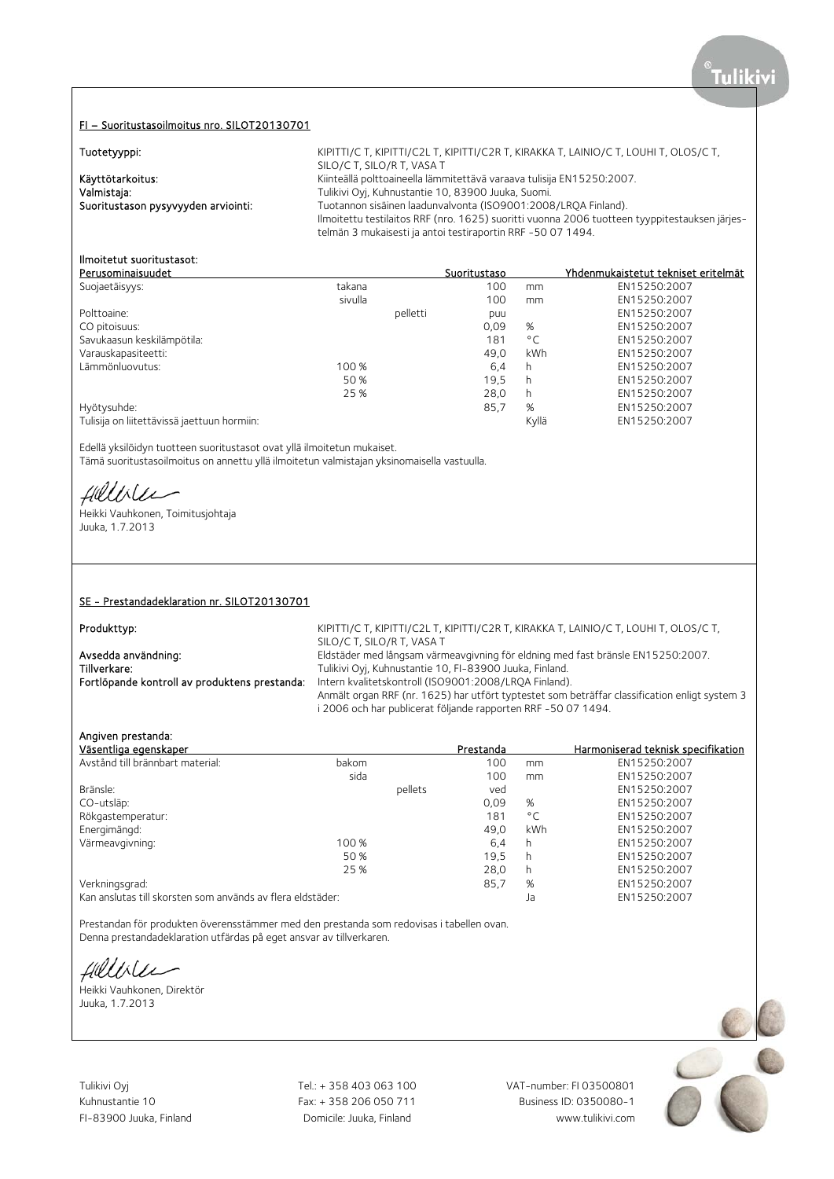### FI – Suoritustasoilmoitus nro. SILOT20130701

| Tuotetyyppi:                        | KIPITTI/C T, KIPITTI/C2L T, KIPITTI/C2R T, KIRAKKA T, LAINIO/C T, LOUHI T, OLOS/C T,          |
|-------------------------------------|-----------------------------------------------------------------------------------------------|
|                                     | SILO/C T, SILO/R T, VASA T                                                                    |
| Käyttötarkoitus:                    | Kiinteällä polttoaineella lämmitettävä varaava tulisija EN15250:2007.                         |
| Valmistaja:                         | Tulikivi Oyj, Kuhnustantie 10, 83900 Juuka, Suomi.                                            |
| Suoritustason pysyvyyden arviointi: | Tuotannon sisäinen laadunvalvonta (ISO9001:2008/LRQA Finland).                                |
|                                     | Ilmoitettu testilaitos RRF (nro. 1625) suoritti vuonna 2006 tuotteen tyyppitestauksen järjes- |
|                                     | telmän 3 mukaisesti ja antoi testiraportin RRF -50 07 1494.                                   |

### Ilmoitetut suoritustasot:

| Perusominaisuudet                           |         |          | Suoritustaso |              | Yhdenmukaistetut tekniset eritelmät |
|---------------------------------------------|---------|----------|--------------|--------------|-------------------------------------|
| Suojaetäisyys:                              | takana  |          | 100          | mm           | EN15250:2007                        |
|                                             | sivulla |          | 100          | mm           | EN15250:2007                        |
| Polttoaine:                                 |         | pelletti | puu          |              | EN15250:2007                        |
| CO pitoisuus:                               |         |          | 0.09         | %            | EN15250:2007                        |
| Savukaasun keskilämpötila:                  |         |          | 181          | $^{\circ}$ C | EN15250:2007                        |
| Varauskapasiteetti:                         |         |          | 49.0         | kWh          | EN15250:2007                        |
| Lämmönluovutus:                             | 100 %   |          | 6,4          | h            | EN15250:2007                        |
|                                             | 50 %    |          | 19,5         | h            | EN15250:2007                        |
|                                             | 25 %    |          | 28.0         | h            | EN15250:2007                        |
| Hyötysuhde:                                 |         |          | 85,7         | %            | EN15250:2007                        |
| Tulisija on liitettävissä jaettuun hormiin: |         |          |              | Kyllä        | EN15250:2007                        |

Edellä yksilöidyn tuotteen suoritustasot ovat yllä ilmoitetun mukaiset. Tämä suoritustasoilmoitus on annettu yllä ilmoitetun valmistajan yksinomaisella vastuulla.

fillisee

Heikki Vauhkonen, Toimitusjohtaja Juuka, 1.7.2013

### SE - Prestandadeklaration nr. SILOT20130701

Produkttyp: Entertainment of the MIPITTI/C T, KIPITTI/C2L T, KIPITTI/C2R T, KIRAKKA T, LAINIO/C T, LOUHI T, OLOS/C T, SILO/C T, SILO/R T, VASA T Avsedda användning: Eldstäder med långsam värmeavgivning för eldning med fast bränsle EN15250:2007.<br>Tillverkare: Tulkivi Ovi. Kuhnustantie 10. FI-83900 Juuka. Finland. Tulikivi Ovi, Kuhnustantie 10, FI-83900 Juuka, Finland. Fortlöpande kontroll av produktens prestanda: Intern kvalitetskontroll (ISO9001:2008/LRQA Finland). Anmält organ RRF (nr. 1625) har utfört typtestet som beträffar classification enligt system 3 i 2006 och har publicerat följande rapporten RRF -50 07 1494.

### Angiven prestanda:

| Väsentliga egenskaper                                      |       |         | Prestanda |              | Harmoniserad teknisk specifikation |
|------------------------------------------------------------|-------|---------|-----------|--------------|------------------------------------|
| Avstånd till brännbart material:                           | bakom |         | 100       | mm           | EN15250:2007                       |
|                                                            | sida  |         | 100       | mm           | EN15250:2007                       |
| Bränsle:                                                   |       | pellets | ved       |              | EN15250:2007                       |
| CO-utsläp:                                                 |       |         | 0,09      | %            | EN15250:2007                       |
| Rökgastemperatur:                                          |       |         | 181       | $^{\circ}$ C | EN15250:2007                       |
| Energimängd:                                               |       |         | 49.0      | kWh          | EN15250:2007                       |
| Värmeavgivning:                                            | 100 % |         | 6,4       | h            | EN15250:2007                       |
|                                                            | 50 %  |         | 19,5      | h            | EN15250:2007                       |
|                                                            | 25 %  |         | 28,0      | h            | EN15250:2007                       |
| Verkningsgrad:                                             |       |         | 85,7      | %            | EN15250:2007                       |
| Kan anslutas till skorsten som används av flera eldstäder: |       |         |           | Ja           | EN15250:2007                       |

Prestandan för produkten överensstämmer med den prestanda som redovisas i tabellen ovan. Denna prestandadeklaration utfärdas på eget ansvar av tillverkaren.

Heikki Vauhkonen, Direktör

Juuka, 1.7.2013

Tulikivi Oyj **Tel.: + 358 403 063 100** VAT-number: FI 03500801

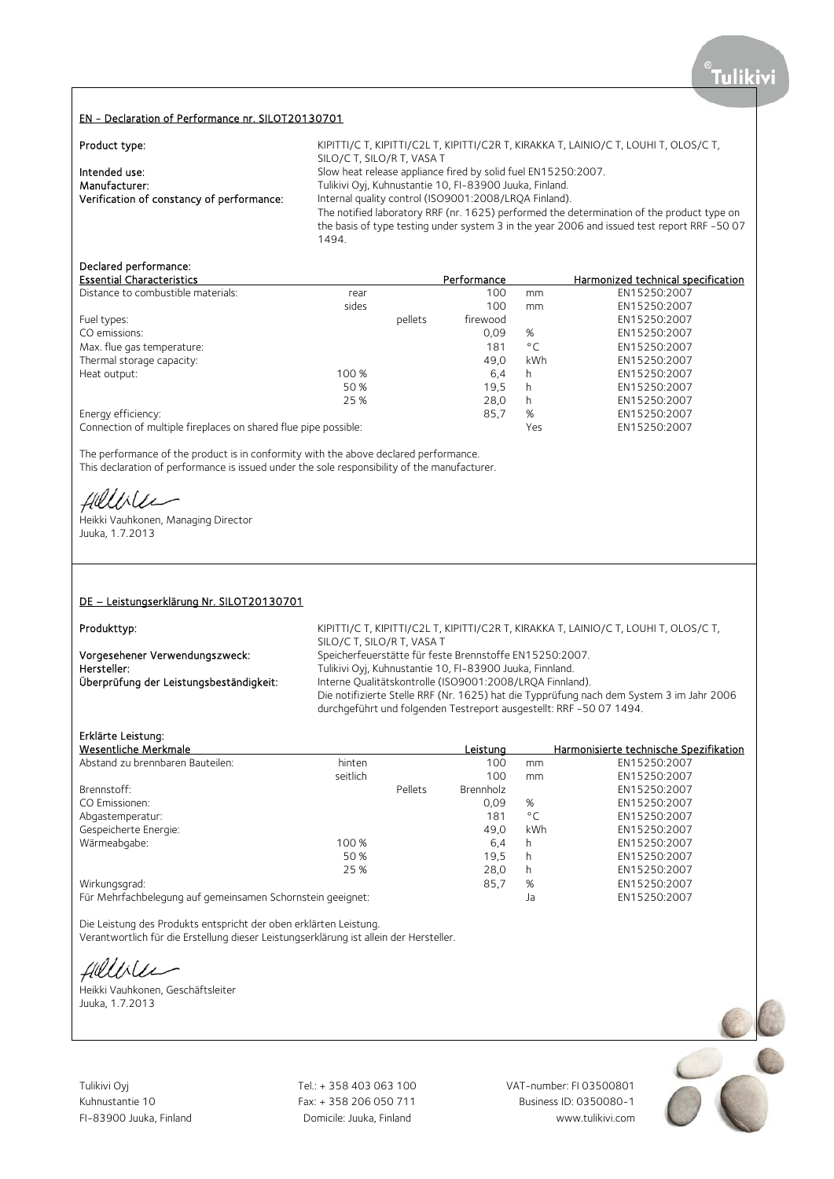### EN - Declaration of Performance nr. SILOT20130701

| Product type:                             | KIPITTI/C T, KIPITTI/C2L T, KIPITTI/C2R T, KIRAKKA T, LAINIO/C T, LOUHI T, OLOS/C T,<br>SILO/C T, SILO/R T, VASA T |
|-------------------------------------------|--------------------------------------------------------------------------------------------------------------------|
| Intended use:                             | Slow heat release appliance fired by solid fuel EN15250:2007.                                                      |
| Manufacturer:                             | Tulikivi Oyj, Kuhnustantie 10, FI-83900 Juuka, Finland.                                                            |
| Verification of constancy of performance: | Internal quality control (ISO9001:2008/LRQA Finland).                                                              |
|                                           | The notified laboratory RRF (nr. 1625) performed the determination of the product type on                          |
|                                           | the basis of type testing under system 3 in the year 2006 and issued test report RRF -50 07                        |
|                                           | 1494.                                                                                                              |

# Declared performance:

| <b>Essential Characteristics</b>                                |       |         | Performance |              | Harmonized technical specification |
|-----------------------------------------------------------------|-------|---------|-------------|--------------|------------------------------------|
| Distance to combustible materials:                              | rear  |         | 100         | mm           | EN15250:2007                       |
|                                                                 | sides |         | 100         | mm           | EN15250:2007                       |
| Fuel types:                                                     |       | pellets | firewood    |              | EN15250:2007                       |
| CO emissions:                                                   |       |         | 0,09        | %            | EN15250:2007                       |
| Max. flue gas temperature:                                      |       |         | 181         | $^{\circ}$ C | EN15250:2007                       |
| Thermal storage capacity:                                       |       |         | 49.0        | kWh          | EN15250:2007                       |
| Heat output:                                                    | 100 % |         | 6,4         | h            | EN15250:2007                       |
|                                                                 | 50 %  |         | 19.5        | h            | EN15250:2007                       |
|                                                                 | 25 %  |         | 28,0        | h            | EN15250:2007                       |
| Energy efficiency:                                              |       |         | 85,7        | %            | EN15250:2007                       |
| Connection of multiple fireplaces on shared flue pipe possible: |       |         |             | Yes          | EN15250:2007                       |

The performance of the product is in conformity with the above declared performance. This declaration of performance is issued under the sole responsibility of the manufacturer.

Hillble

Heikki Vauhkonen, Managing Director Juuka, 1.7.2013

### DE – Leistungserklärung Nr. SILOT20130701

Produkttyp: Example 2015 ACCORDING THE REPORT OF STATISTIC TRACK TO A KIRITTI/C2R T, KIRAKKA T, LAINIO/C T, LOUHI T, OLOS/C T, SILO/C T, SILO/R T, VASA T Vorgesehener Verwendungszweck: Speicherfeuerstätte für feste Brennstoffe EN15250:2007.<br>Tulikivi Ovi. Kuhnustantie 10. Fl-83900 Juuka. Finnland. Hersteller: Tulikivi Oyj, Kuhnustantie 10, FI-83900 Juuka, Finnland.<br>
Überprüfung der Leistungsbeständigkeit: Thterne Qualitätskontrolle (ISO9001:2008/LRQA Finnlar Interne Qualitätskontrolle (ISO9001:2008/LRQA Finnland). Die notifizierte Stelle RRF (Nr. 1625) hat die Typprüfung nach dem System 3 im Jahr 2006 durchgeführt und folgenden Testreport ausgestellt: RRF -50 07 1494.

### Erklärte Leistung:

| Wesentliche Merkmale                                       |          |         | Leistung  |              | Harmonisierte technische Spezifikation |
|------------------------------------------------------------|----------|---------|-----------|--------------|----------------------------------------|
| Abstand zu brennbaren Bauteilen:                           | hinten   |         | 100       | mm           | EN15250:2007                           |
|                                                            | seitlich |         | 100       | mm           | EN15250:2007                           |
| Brennstoff:                                                |          | Pellets | Brennholz |              | EN15250:2007                           |
| CO Emissionen:                                             |          |         | 0,09      | %            | EN15250:2007                           |
| Abgastemperatur:                                           |          |         | 181       | $^{\circ}$ C | EN15250:2007                           |
| Gespeicherte Energie:                                      |          |         | 49.0      | kWh          | EN15250:2007                           |
| Wärmeabgabe:                                               | 100 %    |         | 6,4       | h            | EN15250:2007                           |
|                                                            | 50 %     |         | 19,5      | h            | EN15250:2007                           |
|                                                            | 25 %     |         | 28.0      | h            | EN15250:2007                           |
| Wirkungsgrad:                                              |          |         | 85.7      | %            | EN15250:2007                           |
| Für Mehrfachbelegung auf gemeinsamen Schornstein geeignet: |          |         |           | Ja           | EN15250:2007                           |

Die Leistung des Produkts entspricht der oben erklärten Leistung. Verantwortlich für die Erstellung dieser Leistungserklärung ist allein der Hersteller.

Hillble

Heikki Vauhkonen, Geschäftsleiter Juuka, 1.7.2013



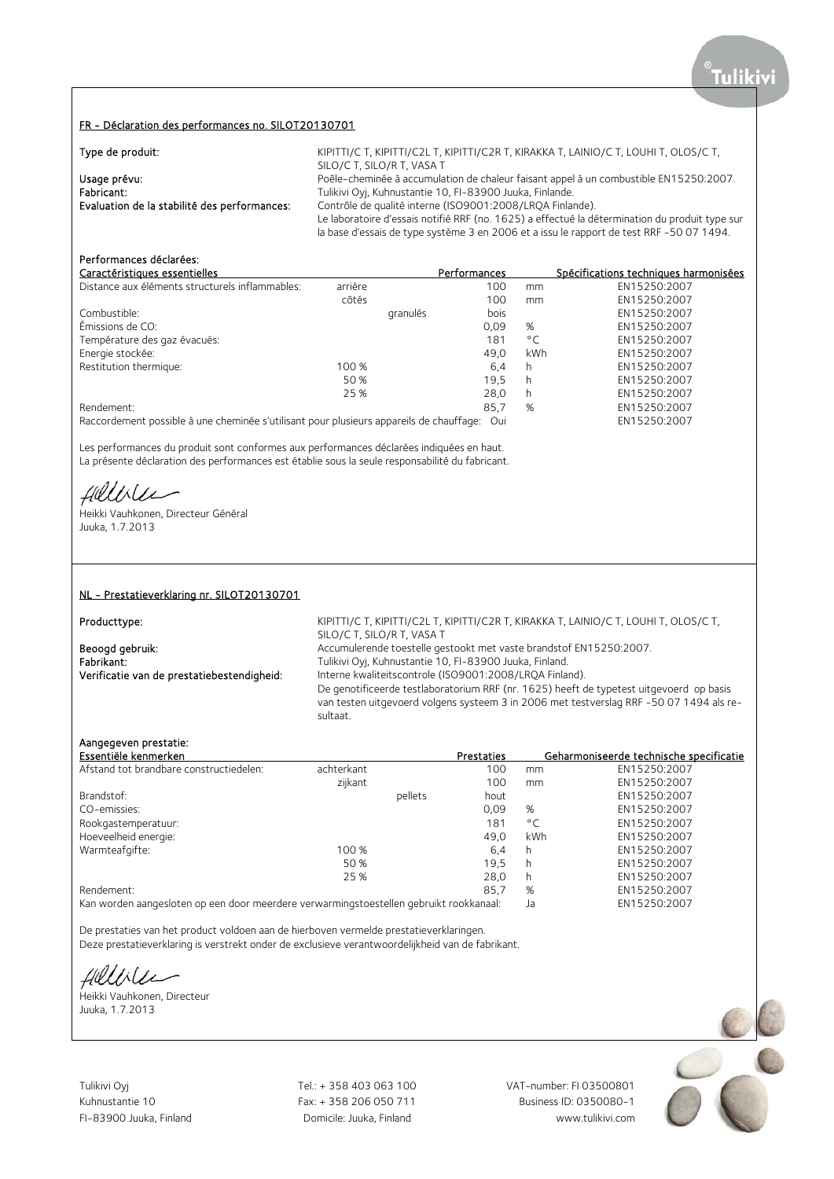### FR - Déclaration des performances no. SILOT20130701

| Type de produit:                             | KIPITTI/C T, KIPITTI/C2L T, KIPITTI/C2R T, KIRAKKA T, LAINIO/C T, LOUHI T, OLOS/C T,           |
|----------------------------------------------|------------------------------------------------------------------------------------------------|
|                                              | SILO/C T, SILO/R T, VASA T                                                                     |
| Usage prévu:                                 | Poêle-cheminée à accumulation de chaleur faisant appel à un combustible EN15250:2007.          |
| Fabricant:                                   | Tulikivi Oyj, Kuhnustantie 10, FI-83900 Juuka, Finlande.                                       |
| Evaluation de la stabilité des performances: | Contrôle de qualité interne (ISO9001:2008/LROA Finlande).                                      |
|                                              | Le laboratoire d'essais notifié RRF (no. 1625) a effectué la détermination du produit type sur |
|                                              | la base d'essais de type système 3 en 2006 et a issu le rapport de test RRF -50 07 1494.       |

## Performances déclarées:

| Caractéristiques essentielles                   |         |          | Performances |              | Spécifications techniques harmonisées |
|-------------------------------------------------|---------|----------|--------------|--------------|---------------------------------------|
| Distance aux éléments structurels inflammables: | arrière |          | 100          | mm           | EN15250:2007                          |
|                                                 | côtés   |          | 100          | mm           | EN15250:2007                          |
| Combustible:                                    |         | granulés | bois         |              | EN15250:2007                          |
| Émissions de CO:                                |         |          | 0.09         | %            | EN15250:2007                          |
| Température des gaz évacués:                    |         |          | 181          | $^{\circ}$ C | EN15250:2007                          |
| Energie stockée:                                |         |          | 49,0         | kWh          | EN15250:2007                          |
| Restitution thermique:                          | 100 %   |          | 6,4          | h            | EN15250:2007                          |
|                                                 | 50 %    |          | 19.5         | h            | EN15250:2007                          |
|                                                 | 25 %    |          | 28.0         | h            | EN15250:2007                          |
| Rendement:                                      |         |          | 85,7         | %            | EN15250:2007                          |
|                                                 |         |          |              |              |                                       |

Raccordement possible à une cheminée s'utilisant pour plusieurs appareils de chauffage: Oui EN15250:2007

Les performances du produit sont conformes aux performances déclarées indiquées en haut. La présente déclaration des performances est établie sous la seule responsabilité du fabricant.

fillirler

Heikki Vauhkonen, Directeur Général Juuka, 1.7.2013

### NL - Prestatieverklaring nr. SILOT20130701

Producttype:

KIPITTI/C T, KIPITTI/C2L T, KIPITTI/C2R T, KIRAKKA T, LAINIO/C T, LOUHI T, OLOS/C T, SILO/C T, SILO/R T, VASA T Beoogd gebruik: <br>Accumulerende toestelle gestookt met vaste brandstof EN15250:2007.<br>Fabrikant: Tulikivi Ovi. Kuhnustantie 10. FI-83900 Juuka. Finland. Fabrikant: Tulikivi Oyj, Kuhnustantie 10, FI-83900 Juuka, Finland.<br>1. Tulikivi Oyj, Kuhnustantie 10, FI-83900 Juuka, Finland. Verificatie van de prestatiebestendigheid: Interne Interne kwaliteitscontrole (ISO9001:2008/LRQA Finland). De genotificeerde testlaboratorium RRF (nr. 1625) heeft de typetest uitgevoerd op basis van testen uitgevoerd volgens systeem 3 in 2006 met testverslag RRF -50 07 1494 als resultaat.

### Aangegeven prestatie:

| Essentiële kenmerken                    |            |         | Prestaties |              | Geharmoniseerde technische specificatie |
|-----------------------------------------|------------|---------|------------|--------------|-----------------------------------------|
| Afstand tot brandbare constructiedelen: | achterkant |         | 100        | mm           | EN15250:2007                            |
|                                         | zijkant    |         | 100        | mm           | EN15250:2007                            |
| Brandstof:                              |            | pellets | hout       |              | EN15250:2007                            |
| CO-emissies:                            |            |         | 0.09       | %            | EN15250:2007                            |
| Rookgastemperatuur:                     |            |         | 181        | $^{\circ}$ C | EN15250:2007                            |
| Hoeveelheid energie:                    |            |         | 49,0       | kWh          | EN15250:2007                            |
| Warmteafgifte:                          | 100 %      |         | 6.4        | h            | EN15250:2007                            |
|                                         | 50 %       |         | 19.5       | h            | EN15250:2007                            |
|                                         | 25 %       |         | 28.0       | h            | EN15250:2007                            |
| Rendement:                              |            |         | 85,7       | %            | EN15250:2007                            |
|                                         |            |         |            |              |                                         |

Kan worden aangesloten op een door meerdere verwarmingstoestellen gebruikt rookkanaal: Ja EN15250:2007

De prestaties van het product voldoen aan de hierboven vermelde prestatieverklaringen. Deze prestatieverklaring is verstrekt onder de exclusieve verantwoordelijkheid van de fabrikant.

Helliler

Heikki Vauhkonen, Directeur Juuka, 1.7.2013

Tulikivi Oyj Tel.: + 358 403 063 100 VAT-number: FI 03500801

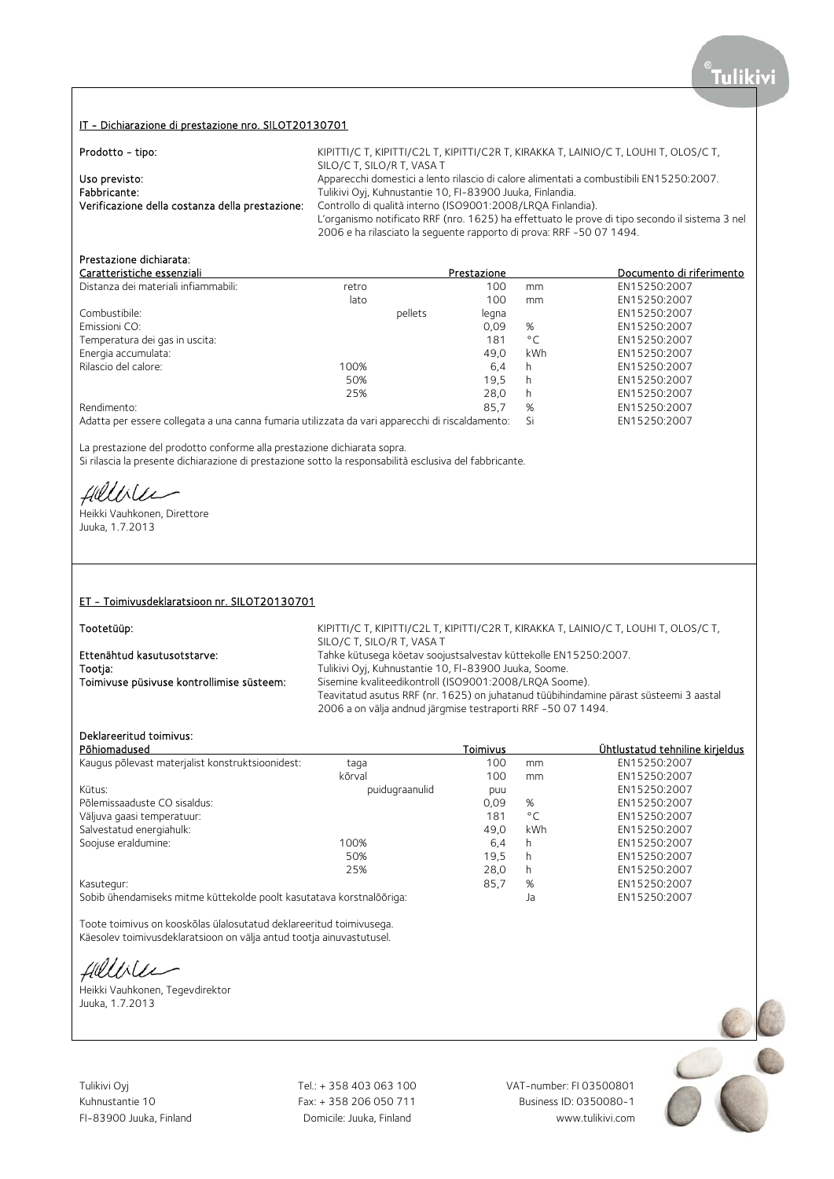### IT - Dichiarazione di prestazione nro. SILOT20130701

| Prodotto - tipo:                                | KIPITTI/C T, KIPITTI/C2L T, KIPITTI/C2R T, KIRAKKA T, LAINIO/C T, LOUHI T, OLOS/C T,           |
|-------------------------------------------------|------------------------------------------------------------------------------------------------|
|                                                 | SILO/C T, SILO/R T, VASA T                                                                     |
| Uso previsto:                                   | Apparecchi domestici a lento rilascio di calore alimentati a combustibili EN15250:2007.        |
| Fabbricante:                                    | Tulikivi Oyj, Kuhnustantie 10, FI-83900 Juuka, Finlandia.                                      |
| Verificazione della costanza della prestazione: | Controllo di qualità interno (ISO9001:2008/LROA Finlandia).                                    |
|                                                 | L'organismo notificato RRF (nro. 1625) ha effettuato le prove di tipo secondo il sistema 3 nel |
|                                                 | 2006 e ha rilasciato la sequente rapporto di prova: RRF -50 07 1494.                           |

## Prestazione dichiarata:

| Caratteristiche essenziali                                                                      |       |         | Prestazione |              | Documento di riferimento |
|-------------------------------------------------------------------------------------------------|-------|---------|-------------|--------------|--------------------------|
| Distanza dei materiali infiammabili:                                                            | retro |         | 100         | mm           | EN15250:2007             |
|                                                                                                 | lato  |         | 100         | mm           | EN15250:2007             |
| Combustibile:                                                                                   |       | pellets | legna       |              | EN15250:2007             |
| Emissioni CO:                                                                                   |       |         | 0.09        | %            | EN15250:2007             |
| Temperatura dei gas in uscita:                                                                  |       |         | 181         | $^{\circ}$ C | EN15250:2007             |
| Energia accumulata:                                                                             |       |         | 49.0        | kWh          | EN15250:2007             |
| Rilascio del calore:                                                                            | 100%  |         | 6,4         | h            | EN15250:2007             |
|                                                                                                 | 50%   |         | 19.5        | h.           | EN15250:2007             |
|                                                                                                 | 25%   |         | 28.0        | h            | EN15250:2007             |
| Rendimento:                                                                                     |       |         | 85,7        | %            | EN15250:2007             |
| Adatta per essere collegata a una canna fumaria utilizzata da vari apparecchi di riscaldamento: |       |         |             | Si           | EN15250:2007             |

La prestazione del prodotto conforme alla prestazione dichiarata sopra. Si rilascia la presente dichiarazione di prestazione sotto la responsabilità esclusiva del fabbricante.

fillile

Heikki Vauhkonen, Direttore Juuka, 1.7.2013

### ET - Toimivusdeklaratsioon nr. SILOT20130701

Tootetüüp: Electromagnetic Material Control of KIPITTI/C T, KIPITTI/C2L T, KIRITTI/C2R T, KIRAKKA T, LAINIO/C T, LOUHI T, OLOS/C T, SILO/C T, SILO/R T, VASA T Ettenähtud kasutusotstarve: Tahke kütusega köetav soojustsalvestav küttekolle EN15250:2007.<br>Tootia: Tulikivi Ovi. Kuhnustantie 10. FI-83900 Juuka. Soome. Tootja: Tulikivi Oyj, Kuhnustantie 10, FI-83900 Juuka, Soome. Sisemine kvaliteedikontroll (ISO9001:2008/LRQA Soome). Teavitatud asutus RRF (nr. 1625) on juhatanud tüübihindamine pärast süsteemi 3 aastal 2006 a on välja andnud järgmise testraporti RRF -50 07 1494.

## Deklareeritud toimivus:

| Põhiomadused                                                         |                | <b>Toimivus</b> |              | Ühtlustatud tehniline kirjeldus |
|----------------------------------------------------------------------|----------------|-----------------|--------------|---------------------------------|
| Kaugus põlevast materjalist konstruktsioonidest:                     | taga           | 100             | mm           | EN15250:2007                    |
|                                                                      | kõrval         | 100             | mm           | EN15250:2007                    |
| Kütus:                                                               | puidugraanulid | puu             |              | EN15250:2007                    |
| Põlemissaaduste CO sisaldus:                                         |                | 0.09            | %            | EN15250:2007                    |
| Väljuva gaasi temperatuur:                                           |                | 181             | $^{\circ}$ C | EN15250:2007                    |
| Salvestatud energiahulk:                                             |                | 49.0            | kWh          | EN15250:2007                    |
| Soojuse eraldumine:                                                  | 100%           | 6,4             | h            | EN15250:2007                    |
|                                                                      | 50%            | 19,5            | h            | EN15250:2007                    |
|                                                                      | 25%            | 28,0            | h            | EN15250:2007                    |
| Kasutegur:                                                           |                | 85.7            | %            | EN15250:2007                    |
| Sobib ühendamiseks mitme küttekolde poolt kasutatava korstnalõõriga: |                |                 | Ja           | EN15250:2007                    |

Toote toimivus on kooskõlas ülalosutatud deklareeritud toimivusega. Käesolev toimivusdeklaratsioon on välja antud tootja ainuvastutusel.

Hillbler

Heikki Vauhkonen, Tegevdirektor Juuka, 1.7.2013

Tulikivi Oyj Tel.: + 358 403 063 100 VAT-number: FI 03500801

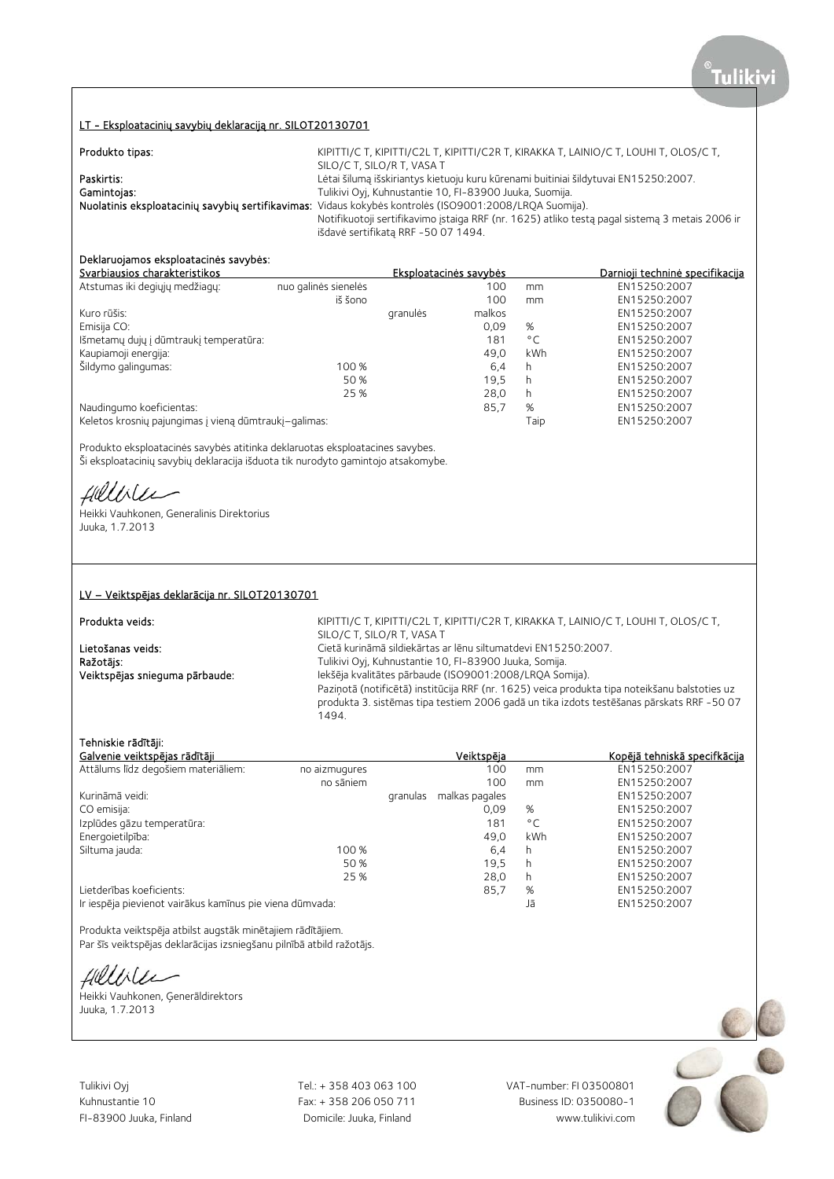### LT - Eksploatacinių savybių deklaraciją nr. SILOT20130701

| Produkto tipas: | KIPITTI/C T, KIPITTI/C2L T, KIPITTI/C2R T, KIRAKKA T, LAINIO/C T, LOUHI T, OLOS/C T,                    |
|-----------------|---------------------------------------------------------------------------------------------------------|
|                 | SILO/C T, SILO/R T, VASA T                                                                              |
| Paskirtis:      | Lėtai šilumą išskiriantys kietuoju kuru kūrenami buitiniai šildytuvai EN15250:2007.                     |
| Gamintojas:     | Tulikivi Oyj, Kuhnustantie 10, FI-83900 Juuka, Suomija.                                                 |
|                 | Nuolatinis eksploatacinių savybių sertifikavimas: Vidaus kokybės kontrolės (ISO9001:2008/LRQA Suomija). |
|                 | Notifikuotoji sertifikavimo įstaiga RRF (nr. 1625) atliko testą pagal sistemą 3 metais 2006 ir          |
|                 | išdavė sertifikatą RRF -50 07 1494.                                                                     |

## Deklaruojamos eksploatacinės savybės:

| Svarbiausios charakteristikos                         | Eksploatacinės savybės |          |        | Darnioji techninė specifikacija |              |
|-------------------------------------------------------|------------------------|----------|--------|---------------------------------|--------------|
| Atstumas iki degiųjų medžiagų:                        | nuo galinės sienelės   |          | 100    | mm                              | EN15250:2007 |
|                                                       | iš šono                |          | 100    | mm                              | EN15250:2007 |
| Kuro rūšis:                                           |                        | granulės | malkos |                                 | EN15250:2007 |
| Emisija CO:                                           |                        |          | 0.09   | %                               | EN15250:2007 |
| Išmetamų dujų į dūmtraukį temperatūra:                |                        |          | 181    | $^{\circ}$ C                    | EN15250:2007 |
| Kaupiamoji energija:                                  |                        |          | 49.0   | kWh                             | EN15250:2007 |
| Šildymo galingumas:                                   | 100 %                  |          | 6,4    | h                               | EN15250:2007 |
|                                                       | 50 %                   |          | 19.5   | h                               | EN15250:2007 |
|                                                       | 25 %                   |          | 28.0   | h                               | EN15250:2007 |
| Naudingumo koeficientas:                              |                        |          | 85,7   | %                               | EN15250:2007 |
| Keletos krosnių pajungimas į vieną dūmtraukį-galimas: |                        |          |        | Taip                            | EN15250:2007 |

Produkto eksploatacinės savybės atitinka deklaruotas eksploatacines savybes. Ši eksploatacinių savybių deklaracija išduota tik nurodyto gamintojo atsakomybe.

fillise

Heikki Vauhkonen, Generalinis Direktorius Juuka, 1.7.2013

### LV – Veiktspējas deklarācija nr. SILOT20130701

Produkta veids:

KIPITTI/C T, KIPITTI/C2L T, KIPITTI/C2R T, KIRAKKA T, LAINIO/C T, LOUHI T, OLOS/C T, SILO/C T, SILO/R T, VASA T Lietošanas veids: Cietā kurināmā sildiekārtas ar lēnu siltumatdevi EN15250:2007. Ražotājs: versions antistantie 10, FI-83900 Juuka, Somija. Veiktspējas snieguma pārbaude: Iekšēja kvalitātes pārbaude (ISO9001:2008/LRQA Somija). Paziņotā (notificētā) institūcija RRF (nr. 1625) veica produkta tipa noteikšanu balstoties uz produkta 3. sistēmas tipa testiem 2006 gadā un tika izdots testēšanas pārskats RRF -50 07 1494.

### Tehniskie rādītāji:

| Galvenie veiktspējas rādītāji                            |               |          | Veiktspēja     |              | Kopējā tehniskā specifkācija |
|----------------------------------------------------------|---------------|----------|----------------|--------------|------------------------------|
| Attālums līdz degošiem materiāliem:                      | no aizmugures |          | 100            | mm           | EN15250:2007                 |
|                                                          | no sāniem     |          | 100            | mm           | EN15250:2007                 |
| Kurināmā veidi:                                          |               | granulas | malkas pagales |              | EN15250:2007                 |
| CO emisija:                                              |               |          | 0.09           | %            | EN15250:2007                 |
| Izplūdes gāzu temperatūra:                               |               |          | 181            | $^{\circ}$ C | EN15250:2007                 |
| Energoietilpība:                                         |               |          | 49.0           | kWh          | EN15250:2007                 |
| Siltuma jauda:                                           | 100 %         |          | 6,4            | h            | EN15250:2007                 |
|                                                          | 50%           |          | 19,5           | h            | EN15250:2007                 |
|                                                          | 25 %          |          | 28,0           | h            | EN15250:2007                 |
| Lietderības koeficients:                                 |               |          | 85,7           | %            | EN15250:2007                 |
| Ir iespēja pievienot vairākus kamīnus pie viena dūmvada: |               |          |                | Jā           | EN15250:2007                 |

Produkta veiktspēja atbilst augstāk minētajiem rādītājiem. Par šīs veiktspējas deklarācijas izsniegšanu pilnībā atbild ražotājs.

Hilliler

Heikki Vauhkonen, Ģenerāldirektors Juuka, 1.7.2013

Tulikivi Oyj Tel.: + 358 403 063 100 VAT-number: FI 03500801

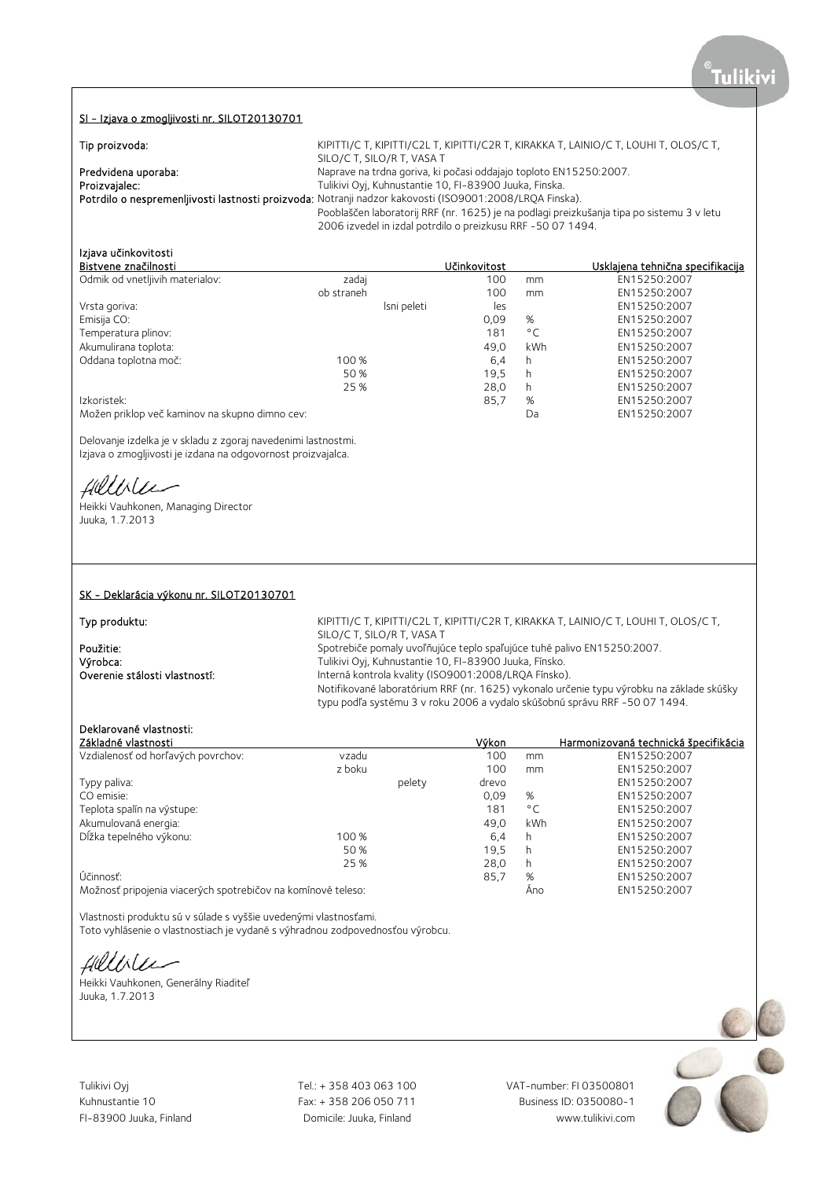### SI - Izjava o zmogljivosti nr. SILOT20130701

| Tip proizvoda:      | KIPITTI/C T, KIPITTI/C2L T, KIPITTI/C2R T, KIRAKKA T, LAINIO/C T, LOUHI T, OLOS/C T,                    |
|---------------------|---------------------------------------------------------------------------------------------------------|
|                     | SILO/C T, SILO/R T, VASA T                                                                              |
| Predvidena uporaba: | Naprave na trdna goriva, ki počasi oddajajo toploto EN15250:2007.                                       |
| Proizvajalec:       | Tulikivi Oyj, Kuhnustantie 10, FI-83900 Juuka, Finska.                                                  |
|                     | Potrdilo o nespremenljivosti lastnosti proizvoda: Notranji nadzor kakovosti (ISO9001:2008/LRQA Finska). |
|                     | Pooblaščen laboratorij RRF (nr. 1625) je na podlagi preizkušanja tipa po sistemu 3 v letu               |
|                     | 2006 izvedel in izdal potrdilo o preizkusu RRF -50 07 1494.                                             |

## Izjava učinkovitosti

| Bistvene značilnosti                           |            |             | Učinkovitost |              | <u>Usklaiena tehnična specifikacija</u> |
|------------------------------------------------|------------|-------------|--------------|--------------|-----------------------------------------|
| Odmik od vnetljivih materialov:                | zadaj      |             | 100          | mm           | EN15250:2007                            |
|                                                | ob straneh |             | 100          | mm           | EN15250:2007                            |
| Vrsta goriva:                                  |            | Isni peleti | les          |              | EN15250:2007                            |
| Emisija CO:                                    |            |             | 0.09         | %            | EN15250:2007                            |
| Temperatura plinov:                            |            |             | 181          | $^{\circ}$ C | EN15250:2007                            |
| Akumulirana toplota:                           |            |             | 49.0         | <b>kWh</b>   | EN15250:2007                            |
| Oddana toplotna moč:                           | 100 %      |             | 6,4          | h            | EN15250:2007                            |
|                                                | 50 %       |             | 19,5         | h            | EN15250:2007                            |
|                                                | 25 %       |             | 28.0         | h            | EN15250:2007                            |
| Izkoristek:                                    |            |             | 85,7         | %            | EN15250:2007                            |
| Možen priklop več kaminov na skupno dimno cev: |            |             |              | Da           | EN15250:2007                            |

Delovanje izdelka je v skladu z zgoraj navedenimi lastnostmi. Izjava o zmogljivosti je izdana na odgovornost proizvajalca.

Hillble

Heikki Vauhkonen, Managing Director Juuka, 1.7.2013

### SK - Deklarácia výkonu nr. SILOT20130701

Typ produktu: KIPITTI/C T, KIPITTI/C2L T, KIPITTI/C2R T, KIRAKKA T, LAINIO/C T, LOUHI T, OLOS/C T, SILO/C T, SILO/R T, VASA T **Použitie:** Spotrebiče pomaly uvoľňujúce teplo spaľujúce tuhé palivo EN15250:2007.<br>
Výrobca: Spotrebiče pro Tulikivi Ovi, Kuhnustantie 10, FI-83900 Juuka, Fínsko. Výrobca: Tulikivi Oyj, Kuhnustantie 10, FI-83900 Juuka, Fínsko. Interná kontrola kvality (ISO9001:2008/LRQA Fínsko). Notifikované laboratórium RRF (nr. 1625) vykonalo určenie typu výrobku na základe skúšky typu podľa systému 3 v roku 2006 a vydalo skúšobnú správu RRF -50 07 1494.

### Deklarované vlastnosti:

| Základné vlastnosti                                          |        |        | Výkon |              | Harmonizovaná technická špecifikácia |
|--------------------------------------------------------------|--------|--------|-------|--------------|--------------------------------------|
| Vzdialenosť od horľavých povrchov:                           | vzadu  |        | 100   | mm           | EN15250:2007                         |
|                                                              | z boku |        | 100   | mm           | EN15250:2007                         |
| Typy paliva:                                                 |        | pelety | drevo |              | EN15250:2007                         |
| CO emisie:                                                   |        |        | 0,09  | %            | EN15250:2007                         |
| Teplota spalín na výstupe:                                   |        |        | 181   | $^{\circ}$ C | EN15250:2007                         |
| Akumulovaná energia:                                         |        |        | 49.0  | kWh          | EN15250:2007                         |
| Dĺžka tepelného výkonu:                                      | 100 %  |        | 6,4   | h            | EN15250:2007                         |
|                                                              | 50 %   |        | 19.5  | h            | EN15250:2007                         |
|                                                              | 25 %   |        | 28,0  | h            | EN15250:2007                         |
| Účinnosť:                                                    |        |        | 85,7  | %            | EN15250:2007                         |
| Možnosť pripojenia viacerých spotrebičov na komínové teleso: |        |        |       | Ano          | EN15250:2007                         |

Vlastnosti produktu sú v súlade s vyššie uvedenými vlastnosťami.

Toto vyhlásenie o vlastnostiach je vydané s výhradnou zodpovednosťou výrobcu.

fillble

Heikki Vauhkonen, Generálny Riaditeľ Juuka, 1.7.2013

Tulikivi Oyj Tel.: + 358 403 063 100 VAT-number: FI 03500801